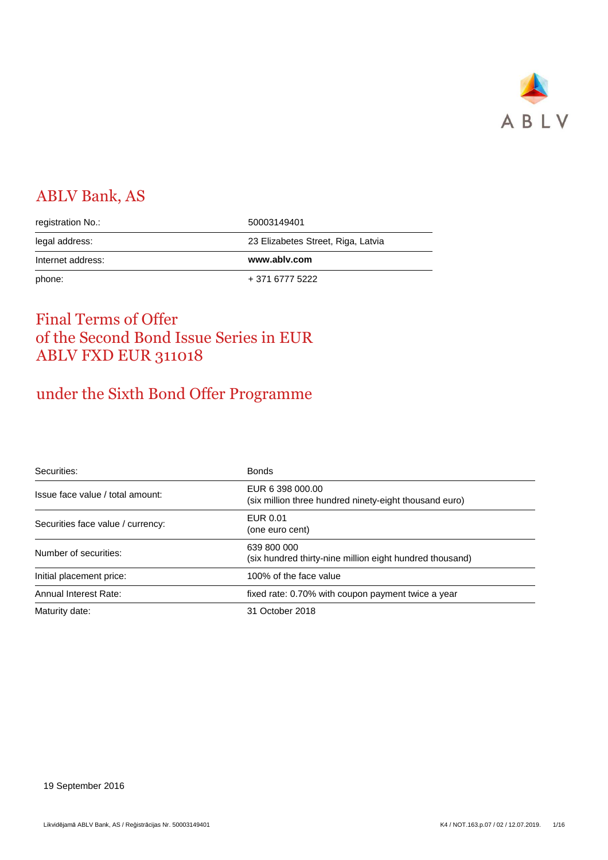

# ABLV Bank, AS

| registration No.: | 50003149401                        |
|-------------------|------------------------------------|
| legal address:    | 23 Elizabetes Street, Riga, Latvia |
|                   |                                    |
| Internet address: | www.ablv.com                       |

## Final Terms of Offer of the Second Bond Issue Series in EUR ABLV FXD EUR 311018

# under the Sixth Bond Offer Programme

| Securities:                       | <b>Bonds</b>                                                               |
|-----------------------------------|----------------------------------------------------------------------------|
| Issue face value / total amount:  | EUR 6 398 000.00<br>(six million three hundred ninety-eight thousand euro) |
| Securities face value / currency: | EUR 0.01<br>(one euro cent)                                                |
| Number of securities:             | 639 800 000<br>(six hundred thirty-nine million eight hundred thousand)    |
| Initial placement price:          | 100% of the face value                                                     |
| Annual Interest Rate:             | fixed rate: 0.70% with coupon payment twice a year                         |
| Maturity date:                    | 31 October 2018                                                            |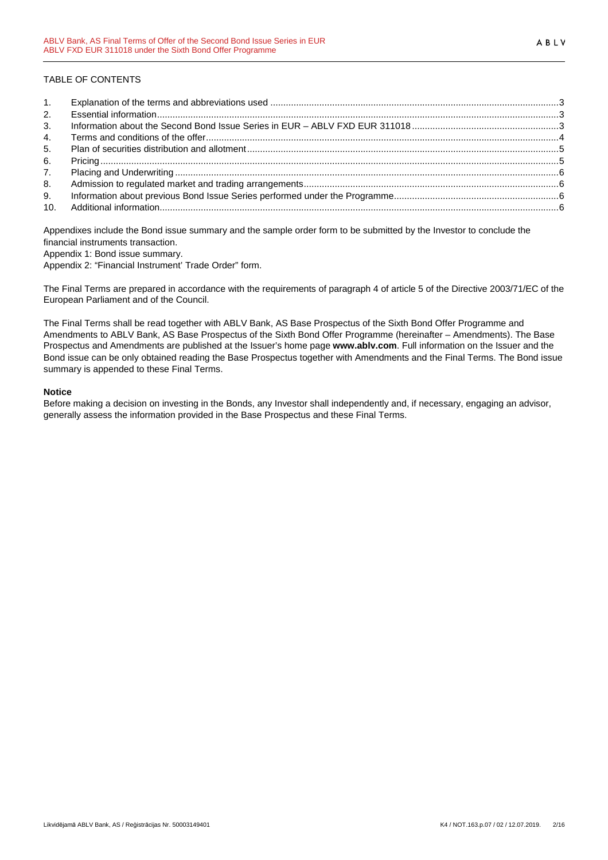#### TABLE OF CONTENTS

| 1.             |  |
|----------------|--|
| 2.             |  |
| 3 <sub>1</sub> |  |
| 4.             |  |
| 5.             |  |
| 6.             |  |
| 7.             |  |
| 8.             |  |
| 9.             |  |
|                |  |

Appendixes include the Bond issue summary and the sample order form to be submitted by the Investor to conclude the financial instruments transaction.

Appendix 1: Bond issue summary.

Appendix 2: "Financial Instrument' Trade Order" form.

The Final Terms are prepared in accordance with the requirements of paragraph 4 of article 5 of the Directive 2003/71/EC of the European Parliament and of the Council.

The Final Terms shall be read together with ABLV Bank, AS Base Prospectus of the Sixth Bond Offer Programme and Amendments to ABLV Bank, AS Base Prospectus of the Sixth Bond Offer Programme (hereinafter – Amendments). The Base Prospectus and Amendments are published at the Issuer's home page **www.ablv.com**. Full information on the Issuer and the Bond issue can be only obtained reading the Base Prospectus together with Amendments and the Final Terms. The Bond issue summary is appended to these Final Terms.

#### **Notice**

Before making a decision on investing in the Bonds, any Investor shall independently and, if necessary, engaging an advisor, generally assess the information provided in the Base Prospectus and these Final Terms.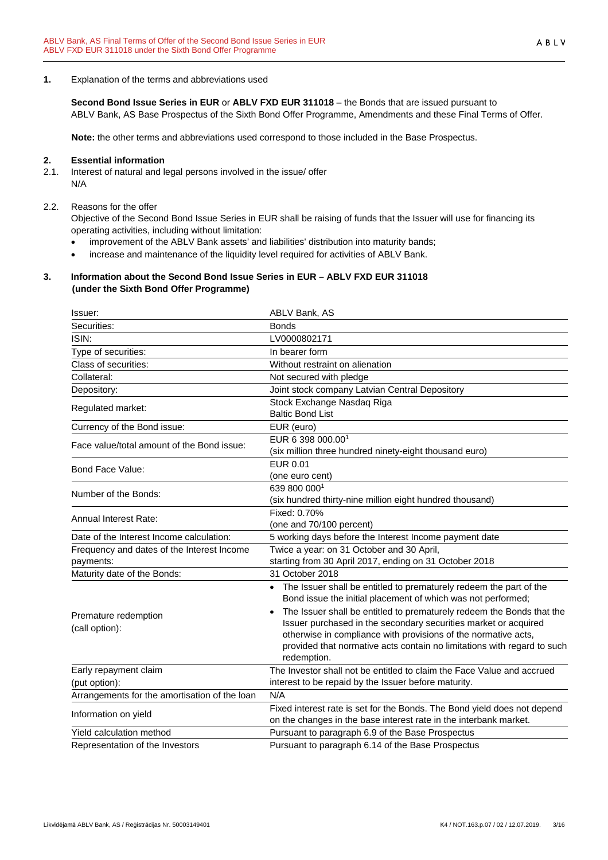**1.** Explanation of the terms and abbreviations used

**Second Bond Issue Series in EUR** or **ABLV FXD EUR 311018** – the Bonds that are issued pursuant to ABLV Bank, AS Base Prospectus of the Sixth Bond Offer Programme, Amendments and these Final Terms of Offer.

**Note:** the other terms and abbreviations used correspond to those included in the Base Prospectus.

#### **2. Essential information**

2.1. Interest of natural and legal persons involved in the issue/ offer N/A

#### 2.2. Reasons for the offer

Objective of the Second Bond Issue Series in EUR shall be raising of funds that the Issuer will use for financing its operating activities, including without limitation:

- improvement of the ABLV Bank assets' and liabilities' distribution into maturity bands;
- increase and maintenance of the liquidity level required for activities of ABLV Bank.

#### **3. Information about the Second Bond Issue Series in EUR – ABLV FXD EUR 311018 (under the Sixth Bond Offer Programme)**

| Issuer:                                                 | ABLV Bank, AS                                                                                                                                                                                                                                                                                                                                                                                                                              |
|---------------------------------------------------------|--------------------------------------------------------------------------------------------------------------------------------------------------------------------------------------------------------------------------------------------------------------------------------------------------------------------------------------------------------------------------------------------------------------------------------------------|
| Securities:                                             | <b>Bonds</b>                                                                                                                                                                                                                                                                                                                                                                                                                               |
| ISIN:                                                   | LV0000802171                                                                                                                                                                                                                                                                                                                                                                                                                               |
| Type of securities:                                     | In bearer form                                                                                                                                                                                                                                                                                                                                                                                                                             |
| Class of securities:                                    | Without restraint on alienation                                                                                                                                                                                                                                                                                                                                                                                                            |
| Collateral:                                             | Not secured with pledge                                                                                                                                                                                                                                                                                                                                                                                                                    |
| Depository:                                             | Joint stock company Latvian Central Depository                                                                                                                                                                                                                                                                                                                                                                                             |
| Regulated market:                                       | Stock Exchange Nasdaq Riga<br><b>Baltic Bond List</b>                                                                                                                                                                                                                                                                                                                                                                                      |
| Currency of the Bond issue:                             | EUR (euro)                                                                                                                                                                                                                                                                                                                                                                                                                                 |
| Face value/total amount of the Bond issue:              | EUR 6 398 000.001<br>(six million three hundred ninety-eight thousand euro)                                                                                                                                                                                                                                                                                                                                                                |
| Bond Face Value:                                        | EUR 0.01<br>(one euro cent)                                                                                                                                                                                                                                                                                                                                                                                                                |
| Number of the Bonds:                                    | 639 800 0001<br>(six hundred thirty-nine million eight hundred thousand)                                                                                                                                                                                                                                                                                                                                                                   |
| Annual Interest Rate:                                   | Fixed: 0.70%<br>(one and 70/100 percent)                                                                                                                                                                                                                                                                                                                                                                                                   |
| Date of the Interest Income calculation:                | 5 working days before the Interest Income payment date                                                                                                                                                                                                                                                                                                                                                                                     |
| Frequency and dates of the Interest Income<br>payments: | Twice a year: on 31 October and 30 April,<br>starting from 30 April 2017, ending on 31 October 2018                                                                                                                                                                                                                                                                                                                                        |
| Maturity date of the Bonds:                             | 31 October 2018                                                                                                                                                                                                                                                                                                                                                                                                                            |
| Premature redemption<br>(call option):                  | The Issuer shall be entitled to prematurely redeem the part of the<br>Bond issue the initial placement of which was not performed;<br>The Issuer shall be entitled to prematurely redeem the Bonds that the<br>Issuer purchased in the secondary securities market or acquired<br>otherwise in compliance with provisions of the normative acts,<br>provided that normative acts contain no limitations with regard to such<br>redemption. |
| Early repayment claim                                   | The Investor shall not be entitled to claim the Face Value and accrued                                                                                                                                                                                                                                                                                                                                                                     |
| (put option):                                           | interest to be repaid by the Issuer before maturity.                                                                                                                                                                                                                                                                                                                                                                                       |
| Arrangements for the amortisation of the loan           | N/A                                                                                                                                                                                                                                                                                                                                                                                                                                        |
| Information on yield                                    | Fixed interest rate is set for the Bonds. The Bond yield does not depend<br>on the changes in the base interest rate in the interbank market.                                                                                                                                                                                                                                                                                              |
| Yield calculation method                                | Pursuant to paragraph 6.9 of the Base Prospectus                                                                                                                                                                                                                                                                                                                                                                                           |
| Representation of the Investors                         | Pursuant to paragraph 6.14 of the Base Prospectus                                                                                                                                                                                                                                                                                                                                                                                          |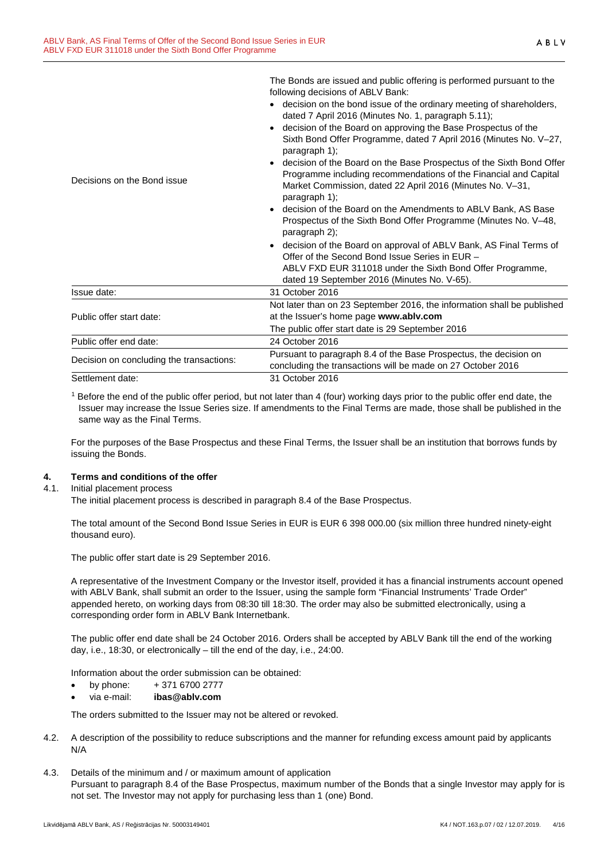|                                          | The bonds are issued and public difficult is performed pursuant to the<br>following decisions of ABLV Bank:                                                                                                            |
|------------------------------------------|------------------------------------------------------------------------------------------------------------------------------------------------------------------------------------------------------------------------|
|                                          | • decision on the bond issue of the ordinary meeting of shareholders,<br>dated 7 April 2016 (Minutes No. 1, paragraph 5.11);                                                                                           |
|                                          | decision of the Board on approving the Base Prospectus of the<br>Sixth Bond Offer Programme, dated 7 April 2016 (Minutes No. V-27,<br>paragraph 1);                                                                    |
| Decisions on the Bond issue              | decision of the Board on the Base Prospectus of the Sixth Bond Offer<br>Programme including recommendations of the Financial and Capital<br>Market Commission, dated 22 April 2016 (Minutes No. V-31,<br>paragraph 1); |
|                                          | decision of the Board on the Amendments to ABLV Bank, AS Base<br>Prospectus of the Sixth Bond Offer Programme (Minutes No. V-48,<br>paragraph 2);                                                                      |
|                                          | decision of the Board on approval of ABLV Bank, AS Final Terms of<br>Offer of the Second Bond Issue Series in EUR -                                                                                                    |
|                                          | ABLV FXD EUR 311018 under the Sixth Bond Offer Programme,<br>dated 19 September 2016 (Minutes No. V-65).                                                                                                               |
| Issue date:                              | 31 October 2016                                                                                                                                                                                                        |
| Public offer start date:                 | Not later than on 23 September 2016, the information shall be published<br>at the Issuer's home page www.ablv.com                                                                                                      |
|                                          | The public offer start date is 29 September 2016                                                                                                                                                                       |
| Public offer end date:                   | 24 October 2016                                                                                                                                                                                                        |
| Decision on concluding the transactions: | Pursuant to paragraph 8.4 of the Base Prospectus, the decision on<br>concluding the transactions will be made on 27 October 2016                                                                                       |
| Settlement date:                         | 31 October 2016                                                                                                                                                                                                        |
|                                          |                                                                                                                                                                                                                        |

The Bonds are issued and public offering is performed pursuant to the

<sup>1</sup> Before the end of the public offer period, but not later than 4 (four) working days prior to the public offer end date, the Issuer may increase the Issue Series size. If amendments to the Final Terms are made, those shall be published in the same way as the Final Terms.

For the purposes of the Base Prospectus and these Final Terms, the Issuer shall be an institution that borrows funds by issuing the Bonds.

#### **4. Terms and conditions of the offer**

#### 4.1. Initial placement process

The initial placement process is described in paragraph 8.4 of the Base Prospectus.

The total amount of the Second Bond Issue Series in EUR is EUR 6 398 000.00 (six million three hundred ninety-eight thousand euro).

The public offer start date is 29 September 2016.

A representative of the Investment Company or the Investor itself, provided it has a financial instruments account opened with ABLV Bank, shall submit an order to the Issuer, using the sample form "Financial Instruments' Trade Order" appended hereto, on working days from 08:30 till 18:30. The order may also be submitted electronically, using a corresponding order form in ABLV Bank Internetbank.

The public offer end date shall be 24 October 2016. Orders shall be accepted by ABLV Bank till the end of the working day, i.e., 18:30, or electronically – till the end of the day, i.e., 24:00.

Information about the order submission can be obtained:

- by phone:  $+371\,6700\,2777$
- via e-mail: **ibas@ablv.com**

The orders submitted to the Issuer may not be altered or revoked.

- 4.2. A description of the possibility to reduce subscriptions and the manner for refunding excess amount paid by applicants N/A
- 4.3. Details of the minimum and / or maximum amount of application Pursuant to paragraph 8.4 of the Base Prospectus, maximum number of the Bonds that a single Investor may apply for is not set. The Investor may not apply for purchasing less than 1 (one) Bond.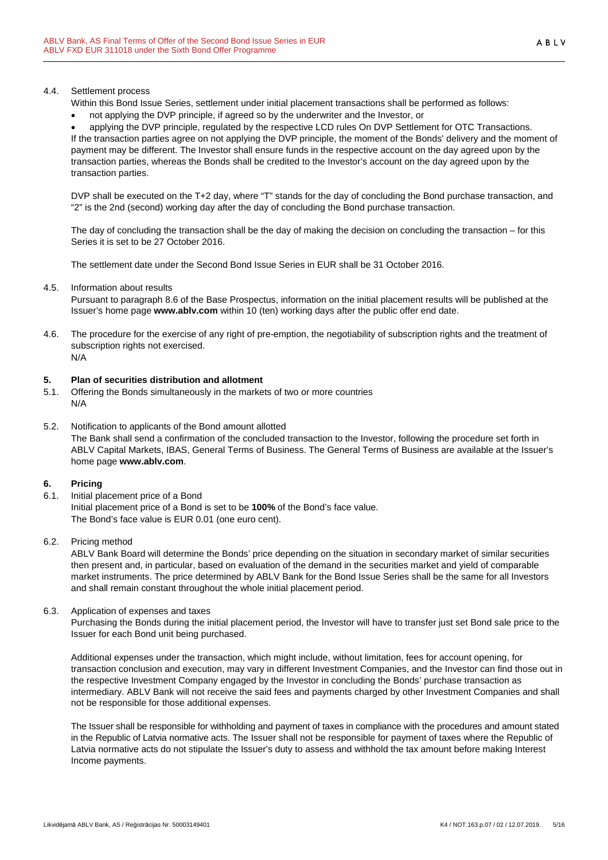#### 4.4. Settlement process

- Within this Bond Issue Series, settlement under initial placement transactions shall be performed as follows:
- not applying the DVP principle, if agreed so by the underwriter and the Investor, or

• applying the DVP principle, regulated by the respective LCD rules On DVP Settlement for OTC Transactions. If the transaction parties agree on not applying the DVP principle, the moment of the Bonds' delivery and the moment of payment may be different. The Investor shall ensure funds in the respective account on the day agreed upon by the transaction parties, whereas the Bonds shall be credited to the Investor's account on the day agreed upon by the transaction parties.

DVP shall be executed on the T+2 day, where "T" stands for the day of concluding the Bond purchase transaction, and "2" is the 2nd (second) working day after the day of concluding the Bond purchase transaction.

The day of concluding the transaction shall be the day of making the decision on concluding the transaction – for this Series it is set to be 27 October 2016.

The settlement date under the Second Bond Issue Series in EUR shall be 31 October 2016.

4.5. Information about results

Pursuant to paragraph 8.6 of the Base Prospectus, information on the initial placement results will be published at the Issuer's home page **www.ablv.com** within 10 (ten) working days after the public offer end date.

4.6. The procedure for the exercise of any right of pre-emption, the negotiability of subscription rights and the treatment of subscription rights not exercised. N/A

#### **5. Plan of securities distribution and allotment**

- 5.1. Offering the Bonds simultaneously in the markets of two or more countries N/A
- 5.2. Notification to applicants of the Bond amount allotted The Bank shall send a confirmation of the concluded transaction to the Investor, following the procedure set forth in ABLV Capital Markets, IBAS, General Terms of Business. The General Terms of Business are available at the Issuer's home page **www.ablv.com**.

#### **6. Pricing**

6.1. Initial placement price of a Bond Initial placement price of a Bond is set to be **100%** of the Bond's face value. The Bond's face value is EUR 0.01 (one euro cent).

#### 6.2. Pricing method

ABLV Bank Board will determine the Bonds' price depending on the situation in secondary market of similar securities then present and, in particular, based on evaluation of the demand in the securities market and yield of comparable market instruments. The price determined by ABLV Bank for the Bond Issue Series shall be the same for all Investors and shall remain constant throughout the whole initial placement period.

6.3. Application of expenses and taxes

Purchasing the Bonds during the initial placement period, the Investor will have to transfer just set Bond sale price to the Issuer for each Bond unit being purchased.

Additional expenses under the transaction, which might include, without limitation, fees for account opening, for transaction conclusion and execution, may vary in different Investment Companies, and the Investor can find those out in the respective Investment Company engaged by the Investor in concluding the Bonds' purchase transaction as intermediary. ABLV Bank will not receive the said fees and payments charged by other Investment Companies and shall not be responsible for those additional expenses.

The Issuer shall be responsible for withholding and payment of taxes in compliance with the procedures and amount stated in the Republic of Latvia normative acts. The Issuer shall not be responsible for payment of taxes where the Republic of Latvia normative acts do not stipulate the Issuer's duty to assess and withhold the tax amount before making Interest Income payments.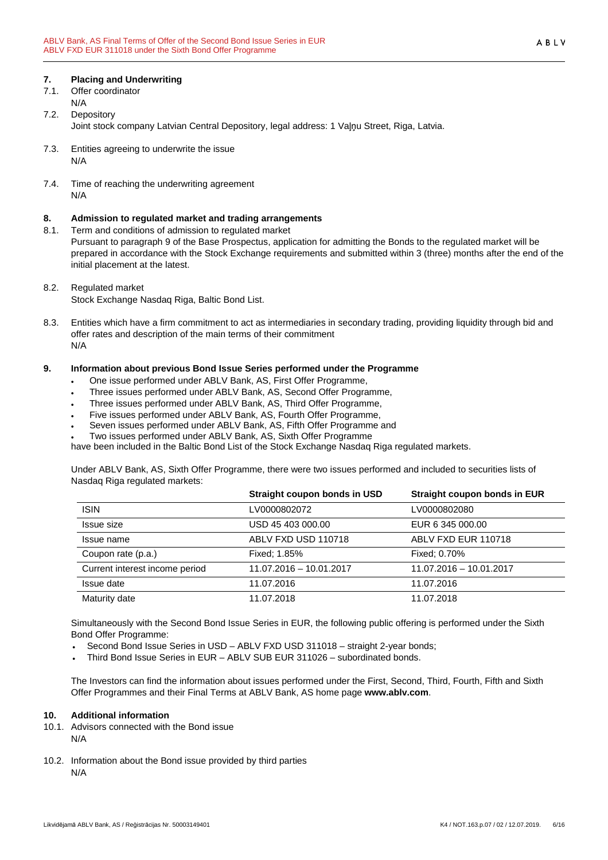#### **7. Placing and Underwriting**

- 7.1. Offer coordinator N/A
- 7.2. Depository Joint stock company Latvian Central Depository, legal address: 1 Vaļņu Street, Riga, Latvia.
- 7.3. Entities agreeing to underwrite the issue N/A
- 7.4. Time of reaching the underwriting agreement N/A

#### **8. Admission to regulated market and trading arrangements**

8.1. Term and conditions of admission to regulated market

Pursuant to paragraph 9 of the Base Prospectus, application for admitting the Bonds to the regulated market will be prepared in accordance with the Stock Exchange requirements and submitted within 3 (three) months after the end of the initial placement at the latest.

- 8.2. Regulated market
	- Stock Exchange Nasdaq Riga, Baltic Bond List.
- 8.3. Entities which have a firm commitment to act as intermediaries in secondary trading, providing liquidity through bid and offer rates and description of the main terms of their commitment N/A

#### **9. Information about previous Bond Issue Series performed under the Programme**

- One issue performed under ABLV Bank, AS, First Offer Programme,
- Three issues performed under ABLV Bank, AS, Second Offer Programme,
- Three issues performed under ABLV Bank, AS, Third Offer Programme,
- Five issues performed under ABLV Bank, AS, Fourth Offer Programme,
- Seven issues performed under ABLV Bank, AS, Fifth Offer Programme and
- Two issues performed under ABLV Bank, AS, Sixth Offer Programme

have been included in the Baltic Bond List of the Stock Exchange Nasdaq Riga regulated markets.

Under ABLV Bank, AS, Sixth Offer Programme, there were two issues performed and included to securities lists of Nasdaq Riga regulated markets:

|                                | Straight coupon bonds in USD | Straight coupon bonds in EUR |
|--------------------------------|------------------------------|------------------------------|
| <b>ISIN</b>                    | LV0000802072                 | LV0000802080                 |
| Issue size                     | USD 45 403 000.00            | EUR 6 345 000.00             |
| Issue name                     | ABLV FXD USD 110718          | ABLV FXD EUR 110718          |
| Coupon rate (p.a.)             | <b>Fixed: 1.85%</b>          | Fixed: 0.70%                 |
| Current interest income period | 11.07.2016 - 10.01.2017      | 11.07.2016 - 10.01.2017      |
| Issue date                     | 11.07.2016                   | 11.07.2016                   |
| Maturity date                  | 11.07.2018                   | 11.07.2018                   |

Simultaneously with the Second Bond Issue Series in EUR, the following public offering is performed under the Sixth Bond Offer Programme:

- Second Bond Issue Series in USD ABLV FXD USD 311018 straight 2-year bonds;
- Third Bond Issue Series in EUR ABLV SUB EUR 311026 subordinated bonds.

The Investors can find the information about issues performed under the First, Second, Third, Fourth, Fifth and Sixth Offer Programmes and their Final Terms at ABLV Bank, AS home page **www.ablv.com**.

#### **10. Additional information**

- 10.1. Advisors connected with the Bond issue N/A
- 10.2. Information about the Bond issue provided by third parties N/A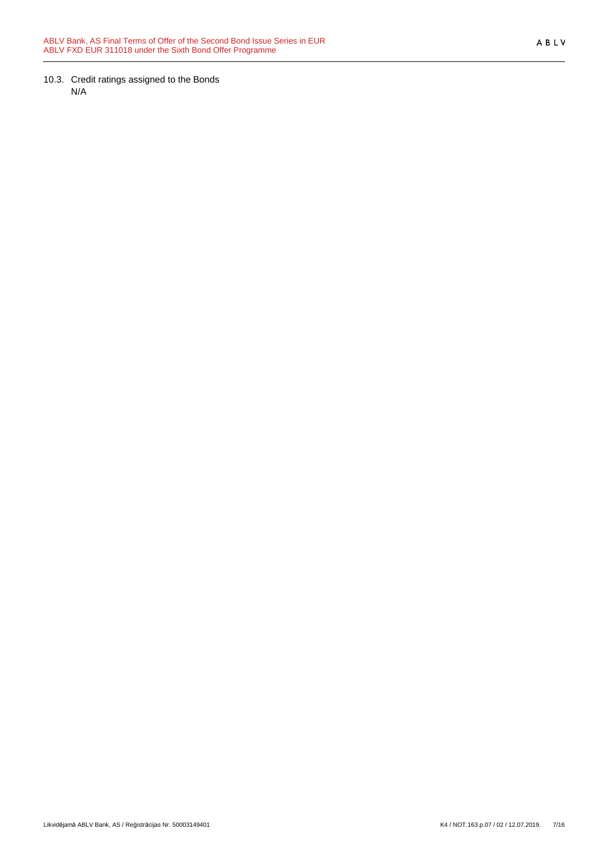10.3. Credit ratings assigned to the Bonds N/A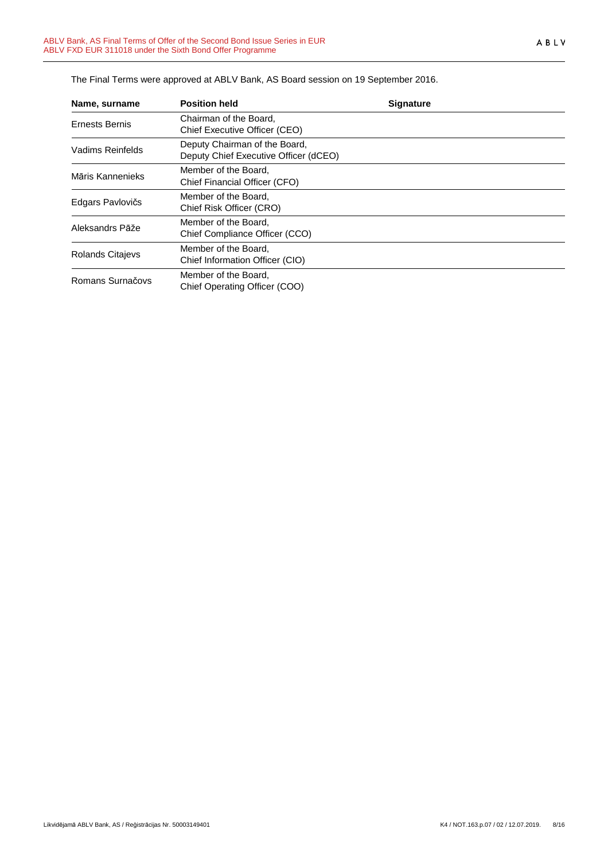| Name, surname         | <b>Position held</b>                                                   | <b>Signature</b> |  |
|-----------------------|------------------------------------------------------------------------|------------------|--|
| <b>Ernests Bernis</b> | Chairman of the Board,<br>Chief Executive Officer (CEO)                |                  |  |
| Vadims Reinfelds      | Deputy Chairman of the Board,<br>Deputy Chief Executive Officer (dCEO) |                  |  |
| Māris Kannenieks      | Member of the Board,<br>Chief Financial Officer (CFO)                  |                  |  |
| Edgars Pavlovičs      | Member of the Board.<br>Chief Risk Officer (CRO)                       |                  |  |
| Aleksandrs Pāže       | Member of the Board,<br>Chief Compliance Officer (CCO)                 |                  |  |
| Rolands Citajevs      | Member of the Board,<br>Chief Information Officer (CIO)                |                  |  |
| Romans Surnačovs      | Member of the Board,<br>Chief Operating Officer (COO)                  |                  |  |

The Final Terms were approved at ABLV Bank, AS Board session on 19 September 2016.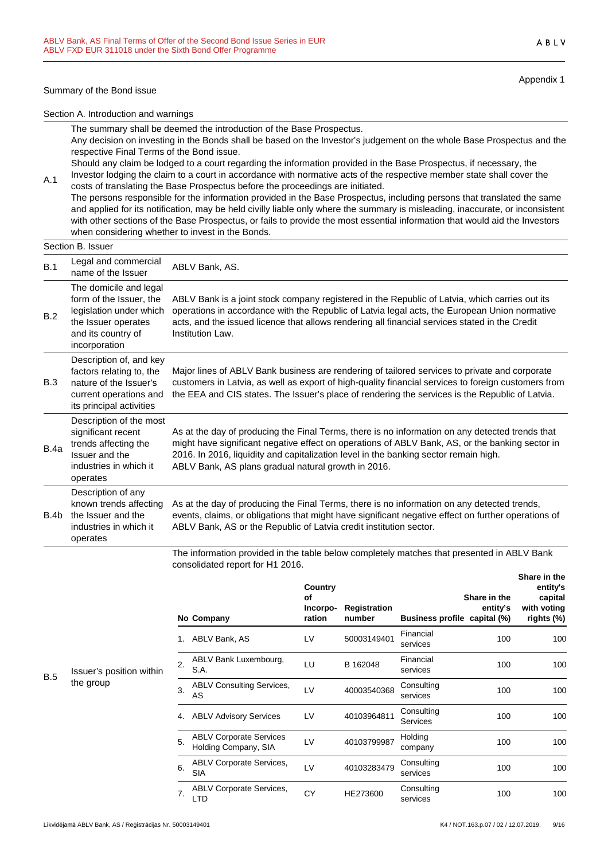#### Summary of the Bond issue

A.1

Appendix 1

ABLV

Section A. Introduction and warnings

The summary shall be deemed the introduction of the Base Prospectus. Any decision on investing in the Bonds shall be based on the Investor's judgement on the whole Base Prospectus and the respective Final Terms of the Bond issue.

Should any claim be lodged to a court regarding the information provided in the Base Prospectus, if necessary, the Investor lodging the claim to a court in accordance with normative acts of the respective member state shall cover the

costs of translating the Base Prospectus before the proceedings are initiated. The persons responsible for the information provided in the Base Prospectus, including persons that translated the same and applied for its notification, may be held civilly liable only where the summary is misleading, inaccurate, or inconsistent with other sections of the Base Prospectus, or fails to provide the most essential information that would aid the Investors when considering whether to invest in the Bonds.

#### Section B. Issuer B.1 Legal and commercial Legal and commercial ABLV Bank, AS.<br>name of the Issuer B.2 The domicile and legal form of the Issuer, the legislation under which the Issuer operates and its country of incorporation ABLV Bank is a joint stock company registered in the Republic of Latvia, which carries out its operations in accordance with the Republic of Latvia legal acts, the European Union normative acts, and the issued licence that allows rendering all financial services stated in the Credit Institution Law. B.3 Description of, and key factors relating to, the nature of the Issuer's current operations and its principal activities Major lines of ABLV Bank business are rendering of tailored services to private and corporate customers in Latvia, as well as export of high-quality financial services to foreign customers from the EEA and CIS states. The Issuer's place of rendering the services is the Republic of Latvia. B.4a Description of the most significant recent trends affecting the Issuer and the industries in which it operates As at the day of producing the Final Terms, there is no information on any detected trends that might have significant negative effect on operations of ABLV Bank, AS, or the banking sector in 2016. In 2016, liquidity and capitalization level in the banking sector remain high. ABLV Bank, AS plans gradual natural growth in 2016. B.4b Description of any known trends affecting the Issuer and the industries in which it operates As at the day of producing the Final Terms, there is no information on any detected trends, events, claims, or obligations that might have significant negative effect on further operations of ABLV Bank, AS or the Republic of Latvia credit institution sector.

The information provided in the table below completely matches that presented in ABLV Bank consolidated report for H1 2016.

|            |                          |    | No Company                                             | Country<br>of<br>Incorpo-<br>ration | Registration<br>number | Business profile capital (%) | Share in the<br>entity's | entity's<br>capital<br>with voting<br>rights (%) |
|------------|--------------------------|----|--------------------------------------------------------|-------------------------------------|------------------------|------------------------------|--------------------------|--------------------------------------------------|
|            |                          | 1. | ABLV Bank, AS                                          | LV                                  | 50003149401            | Financial<br>services        | 100                      | 100                                              |
| <b>B.5</b> | Issuer's position within | 2. | ABLV Bank Luxembourg,<br>S.A.                          | LU                                  | B 162048               | Financial<br>services        | 100                      | 100                                              |
|            | the group                | 3. | <b>ABLV Consulting Services,</b><br>AS                 | LV                                  | 40003540368            | Consulting<br>services       | 100                      | 100                                              |
|            |                          | 4. | <b>ABLV Advisory Services</b>                          | LV                                  | 40103964811            | Consulting<br>Services       | 100                      | 100                                              |
|            |                          | 5. | <b>ABLV Corporate Services</b><br>Holding Company, SIA | LV                                  | 40103799987            | Holding<br>company           | 100                      | 100                                              |
|            |                          | 6. | <b>ABLV Corporate Services,</b><br><b>SIA</b>          | LV                                  | 40103283479            | Consulting<br>services       | 100                      | 100                                              |
|            |                          | 7. | <b>ABLV Corporate Services,</b><br>LTD                 | <b>CY</b>                           | HE273600               | Consulting<br>services       | 100                      | 100                                              |

**Share in the**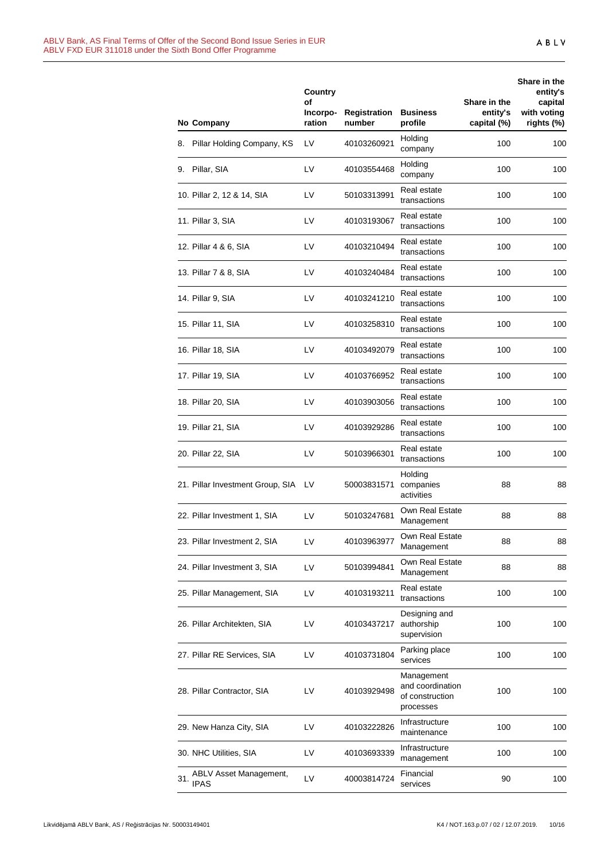|     | No Company                            | Country<br>οf<br>Incorpo-<br>ration | Registration<br>number | <b>Business</b><br>profile                                     | Share in the<br>entity's<br>capital (%) | Share in the<br>entity's<br>capital<br>with voting<br>rights (%) |
|-----|---------------------------------------|-------------------------------------|------------------------|----------------------------------------------------------------|-----------------------------------------|------------------------------------------------------------------|
|     | 8. Pillar Holding Company, KS         | LV                                  | 40103260921            | Holding<br>company                                             | 100                                     | 100                                                              |
|     | 9. Pillar, SIA                        | LV                                  | 40103554468            | Holding<br>company                                             | 100                                     | 100                                                              |
|     | 10. Pillar 2, 12 & 14, SIA            | LV                                  | 50103313991            | Real estate<br>transactions                                    | 100                                     | 100                                                              |
|     | 11. Pillar 3, SIA                     | LV                                  | 40103193067            | Real estate<br>transactions                                    | 100                                     | 100                                                              |
|     | 12. Pillar 4 & 6, SIA                 | LV                                  | 40103210494            | Real estate<br>transactions                                    | 100                                     | 100                                                              |
|     | 13. Pillar 7 & 8, SIA                 | LV                                  | 40103240484            | Real estate<br>transactions                                    | 100                                     | 100                                                              |
|     | 14. Pillar 9, SIA                     | LV                                  | 40103241210            | Real estate<br>transactions                                    | 100                                     | 100                                                              |
|     | 15. Pillar 11, SIA                    | LV                                  | 40103258310            | Real estate<br>transactions                                    | 100                                     | 100                                                              |
|     | 16. Pillar 18, SIA                    | LV                                  | 40103492079            | Real estate<br>transactions                                    | 100                                     | 100                                                              |
|     | 17. Pillar 19, SIA                    | LV                                  | 40103766952            | Real estate<br>transactions                                    | 100                                     | 100                                                              |
|     | 18. Pillar 20, SIA                    | LV                                  | 40103903056            | Real estate<br>transactions                                    | 100                                     | 100                                                              |
|     | 19. Pillar 21, SIA                    | LV                                  | 40103929286            | Real estate<br>transactions                                    | 100                                     | 100                                                              |
|     | 20. Pillar 22, SIA                    | LV                                  | 50103966301            | Real estate<br>transactions                                    | 100                                     | 100                                                              |
|     | 21. Pillar Investment Group, SIA      | LV                                  | 50003831571            | Holding<br>companies<br>activities                             | 88                                      | 88                                                               |
|     | 22. Pillar Investment 1, SIA          | LV                                  | 50103247681            | Own Real Estate<br>Management                                  | 88                                      | 88                                                               |
|     | 23. Pillar Investment 2, SIA          | LV                                  | 40103963977            | Own Real Estate<br>Management                                  | 88                                      | 88                                                               |
|     | 24. Pillar Investment 3, SIA          | LV                                  | 50103994841            | Own Real Estate<br>Management                                  | 88                                      | 88                                                               |
|     | 25. Pillar Management, SIA            | LV                                  | 40103193211            | Real estate<br>transactions                                    | 100                                     | 100                                                              |
|     | 26. Pillar Architekten, SIA           | LV                                  | 40103437217            | Designing and<br>authorship<br>supervision                     | 100                                     | 100                                                              |
|     | 27. Pillar RE Services, SIA           | LV                                  | 40103731804            | Parking place<br>services                                      | 100                                     | 100                                                              |
|     | 28. Pillar Contractor, SIA            | LV                                  | 40103929498            | Management<br>and coordination<br>of construction<br>processes | 100                                     | 100                                                              |
|     | 29. New Hanza City, SIA               | LV                                  | 40103222826            | Infrastructure<br>maintenance                                  | 100                                     | 100                                                              |
|     | 30. NHC Utilities, SIA                | LV                                  | 40103693339            | Infrastructure<br>management                                   | 100                                     | 100                                                              |
| 31. | ABLV Asset Management,<br><b>IPAS</b> | LV                                  | 40003814724            | Financial<br>services                                          | 90                                      | 100                                                              |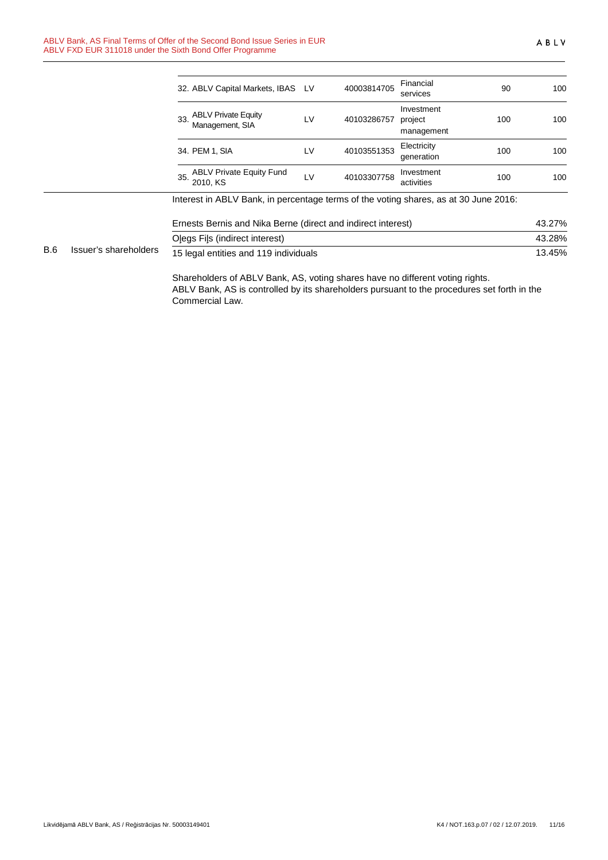|            |                       | 32. ABLV Capital Markets, IBAS LV                                                                                            |           | 40003814705 | Financial<br>services               | 90  | 100    |
|------------|-----------------------|------------------------------------------------------------------------------------------------------------------------------|-----------|-------------|-------------------------------------|-----|--------|
|            |                       | <b>ABLV Private Equity</b><br>33.<br>Management, SIA<br>34. PEM 1, SIA<br><b>ABLV Private Equity Fund</b><br>35.<br>2010, KS | <b>LV</b> | 40103286757 | Investment<br>project<br>management | 100 | 100    |
|            |                       |                                                                                                                              | LV        | 40103551353 | Electricity<br>generation           | 100 | 100    |
|            |                       |                                                                                                                              | LV        | 40103307758 | Investment<br>activities            | 100 | 100    |
|            |                       | Interest in ABLV Bank, in percentage terms of the voting shares, as at 30 June 2016:                                         |           |             |                                     |     |        |
|            |                       | Ernests Bernis and Nika Berne (direct and indirect interest)                                                                 |           |             |                                     |     | 43.27% |
|            |                       | Olegs Fils (indirect interest)                                                                                               |           |             |                                     |     | 43.28% |
| <b>B.6</b> | Issuer's shareholders | 15 legal entities and 119 individuals                                                                                        |           |             |                                     |     | 13.45% |

Shareholders of ABLV Bank, AS, voting shares have no different voting rights. ABLV Bank, AS is controlled by its shareholders pursuant to the procedures set forth in the Commercial Law.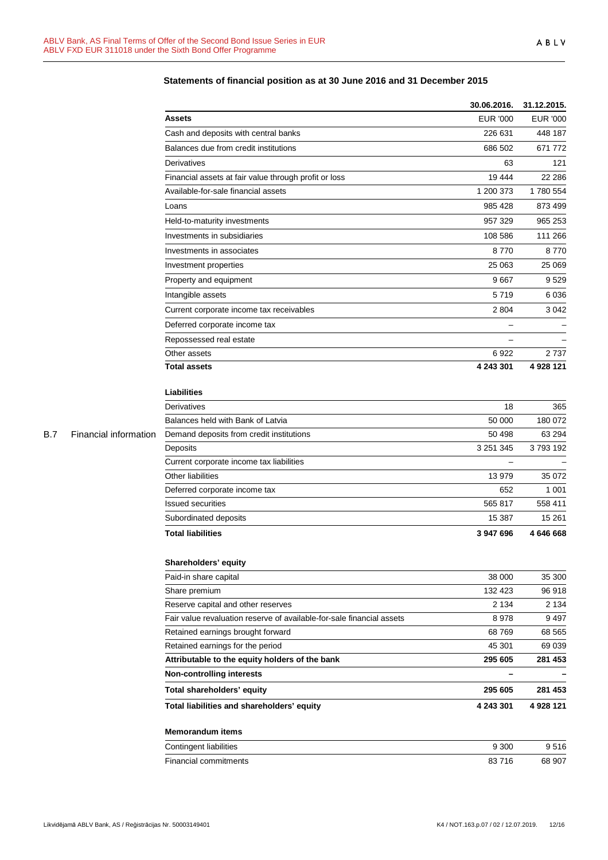|            |                       |                                                                       | 30.06.2016.              | 31.12.2015.     |
|------------|-----------------------|-----------------------------------------------------------------------|--------------------------|-----------------|
|            |                       | <b>Assets</b>                                                         | <b>EUR '000</b>          | <b>EUR '000</b> |
|            |                       | Cash and deposits with central banks                                  | 226 631                  | 448 187         |
|            |                       | Balances due from credit institutions                                 | 686 502                  | 671 772         |
|            |                       | Derivatives                                                           | 63                       | 121             |
|            |                       | Financial assets at fair value through profit or loss                 | 19 4 44                  | 22 286          |
|            |                       | Available-for-sale financial assets                                   | 1 200 373                | 1780 554        |
|            |                       | Loans                                                                 | 985 428                  | 873 499         |
|            |                       | Held-to-maturity investments                                          | 957 329                  | 965 253         |
|            |                       | Investments in subsidiaries                                           | 108 586                  | 111 266         |
|            |                       | Investments in associates                                             | 8770                     | 8770            |
|            |                       | Investment properties                                                 | 25 063                   | 25 069          |
|            |                       | Property and equipment                                                | 9667                     | 9529            |
|            |                       | Intangible assets                                                     | 5719                     | 6 0 36          |
|            |                       | Current corporate income tax receivables                              | 2 8 0 4                  | 3 0 4 2         |
|            |                       | Deferred corporate income tax                                         | $\overline{\phantom{0}}$ |                 |
|            |                       | Repossessed real estate                                               |                          |                 |
|            |                       | Other assets                                                          | 6922                     | 2 7 3 7         |
|            |                       | <b>Total assets</b>                                                   | 4 243 301                | 4 928 121       |
|            |                       |                                                                       |                          |                 |
|            |                       | <b>Liabilities</b>                                                    |                          |                 |
|            |                       | Derivatives                                                           | 18                       | 365             |
|            |                       | Balances held with Bank of Latvia                                     | 50 000                   | 180 072         |
| <b>B.7</b> | Financial information | Demand deposits from credit institutions                              | 50 498                   | 63 294          |
|            |                       | Deposits                                                              | 3 2 5 1 3 4 5            | 3793192         |
|            |                       | Current corporate income tax liabilities                              |                          |                 |
|            |                       | Other liabilities                                                     | 13979                    | 35 072          |
|            |                       | Deferred corporate income tax                                         | 652                      | 1 0 0 1         |
|            |                       | <b>Issued securities</b>                                              | 565 817                  | 558 411         |
|            |                       | Subordinated deposits                                                 | 15 387                   | 15 261          |
|            |                       | <b>Total liabilities</b>                                              | 3 947 696                | 4 646 668       |
|            |                       |                                                                       |                          |                 |
|            |                       | Shareholders' equity                                                  |                          |                 |
|            |                       | Paid-in share capital                                                 | 38 000                   | 35 300          |
|            |                       | Share premium                                                         | 132 423                  | 96 918          |
|            |                       | Reserve capital and other reserves                                    | 2 1 3 4                  | 2 1 3 4         |
|            |                       | Fair value revaluation reserve of available-for-sale financial assets | 8978                     | 9 4 9 7         |
|            |                       | Retained earnings brought forward                                     | 68769                    | 68 565          |
|            |                       | Retained earnings for the period                                      | 45 301                   | 69 039          |
|            |                       | Attributable to the equity holders of the bank                        | 295 605                  | 281 453         |
|            |                       | <b>Non-controlling interests</b>                                      | —                        |                 |
|            |                       | Total shareholders' equity                                            | 295 605                  | 281 453         |
|            |                       | Total liabilities and shareholders' equity                            | 4 243 301                | 4 928 121       |
|            |                       | <b>Memorandum items</b>                                               |                          |                 |
|            |                       | Contingent liabilities                                                | 9 3 0 0                  | 9516            |
|            |                       | Financial commitments                                                 | 83716                    | 68 907          |

### **Statements of financial position as at 30 June 2016 and 31 December 2015**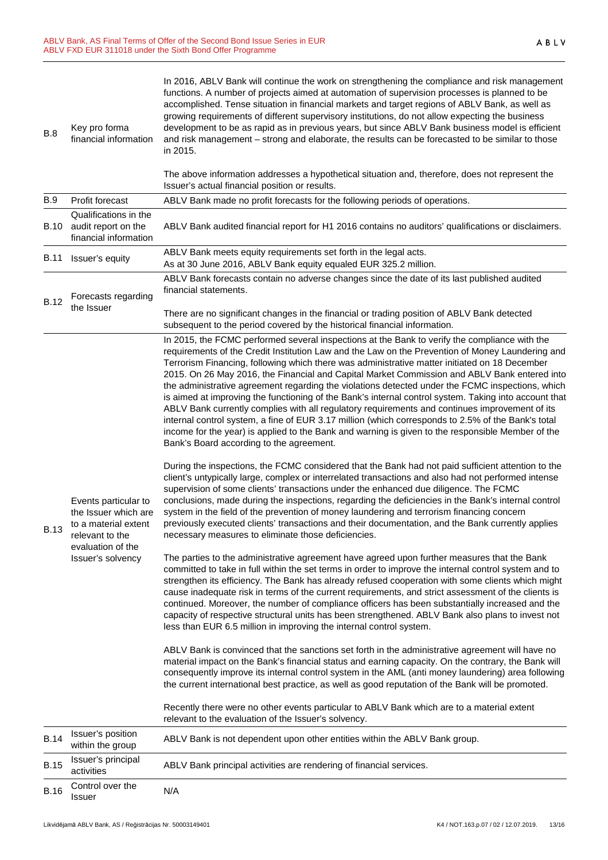| B.8         | Key pro forma<br>financial information                                                                                            | In 2016, ABLV Bank will continue the work on strengthening the compliance and risk management<br>functions. A number of projects aimed at automation of supervision processes is planned to be<br>accomplished. Tense situation in financial markets and target regions of ABLV Bank, as well as<br>growing requirements of different supervisory institutions, do not allow expecting the business<br>development to be as rapid as in previous years, but since ABLV Bank business model is efficient<br>and risk management - strong and elaborate, the results can be forecasted to be similar to those<br>in 2015.<br>The above information addresses a hypothetical situation and, therefore, does not represent the<br>Issuer's actual financial position or results.                                                                                                                                                                                                                                                                                                                                                                                                                                                                                                                                                                                                                                                                                                                                                                                                                                                                                                                                                                                                                                                                                                                                                                                                                                                                                                                                                                                                                                                                                                                                                                                                                                                                                                                                                                                                                                                                                                                                                                                           |
|-------------|-----------------------------------------------------------------------------------------------------------------------------------|------------------------------------------------------------------------------------------------------------------------------------------------------------------------------------------------------------------------------------------------------------------------------------------------------------------------------------------------------------------------------------------------------------------------------------------------------------------------------------------------------------------------------------------------------------------------------------------------------------------------------------------------------------------------------------------------------------------------------------------------------------------------------------------------------------------------------------------------------------------------------------------------------------------------------------------------------------------------------------------------------------------------------------------------------------------------------------------------------------------------------------------------------------------------------------------------------------------------------------------------------------------------------------------------------------------------------------------------------------------------------------------------------------------------------------------------------------------------------------------------------------------------------------------------------------------------------------------------------------------------------------------------------------------------------------------------------------------------------------------------------------------------------------------------------------------------------------------------------------------------------------------------------------------------------------------------------------------------------------------------------------------------------------------------------------------------------------------------------------------------------------------------------------------------------------------------------------------------------------------------------------------------------------------------------------------------------------------------------------------------------------------------------------------------------------------------------------------------------------------------------------------------------------------------------------------------------------------------------------------------------------------------------------------------------------------------------------------------------------------------------------------------|
| B.9         | Profit forecast                                                                                                                   | ABLV Bank made no profit forecasts for the following periods of operations.                                                                                                                                                                                                                                                                                                                                                                                                                                                                                                                                                                                                                                                                                                                                                                                                                                                                                                                                                                                                                                                                                                                                                                                                                                                                                                                                                                                                                                                                                                                                                                                                                                                                                                                                                                                                                                                                                                                                                                                                                                                                                                                                                                                                                                                                                                                                                                                                                                                                                                                                                                                                                                                                                            |
| B.10        | Qualifications in the<br>audit report on the<br>financial information                                                             | ABLV Bank audited financial report for H1 2016 contains no auditors' qualifications or disclaimers.                                                                                                                                                                                                                                                                                                                                                                                                                                                                                                                                                                                                                                                                                                                                                                                                                                                                                                                                                                                                                                                                                                                                                                                                                                                                                                                                                                                                                                                                                                                                                                                                                                                                                                                                                                                                                                                                                                                                                                                                                                                                                                                                                                                                                                                                                                                                                                                                                                                                                                                                                                                                                                                                    |
| B.11        | Issuer's equity                                                                                                                   | ABLV Bank meets equity requirements set forth in the legal acts.<br>As at 30 June 2016, ABLV Bank equity equaled EUR 325.2 million.                                                                                                                                                                                                                                                                                                                                                                                                                                                                                                                                                                                                                                                                                                                                                                                                                                                                                                                                                                                                                                                                                                                                                                                                                                                                                                                                                                                                                                                                                                                                                                                                                                                                                                                                                                                                                                                                                                                                                                                                                                                                                                                                                                                                                                                                                                                                                                                                                                                                                                                                                                                                                                    |
|             | Forecasts regarding                                                                                                               | ABLV Bank forecasts contain no adverse changes since the date of its last published audited<br>financial statements.                                                                                                                                                                                                                                                                                                                                                                                                                                                                                                                                                                                                                                                                                                                                                                                                                                                                                                                                                                                                                                                                                                                                                                                                                                                                                                                                                                                                                                                                                                                                                                                                                                                                                                                                                                                                                                                                                                                                                                                                                                                                                                                                                                                                                                                                                                                                                                                                                                                                                                                                                                                                                                                   |
| <b>B.12</b> | the Issuer                                                                                                                        | There are no significant changes in the financial or trading position of ABLV Bank detected<br>subsequent to the period covered by the historical financial information.                                                                                                                                                                                                                                                                                                                                                                                                                                                                                                                                                                                                                                                                                                                                                                                                                                                                                                                                                                                                                                                                                                                                                                                                                                                                                                                                                                                                                                                                                                                                                                                                                                                                                                                                                                                                                                                                                                                                                                                                                                                                                                                                                                                                                                                                                                                                                                                                                                                                                                                                                                                               |
| <b>B.13</b> | Events particular to<br>the Issuer which are<br>to a material extent<br>relevant to the<br>evaluation of the<br>Issuer's solvency | In 2015, the FCMC performed several inspections at the Bank to verify the compliance with the<br>requirements of the Credit Institution Law and the Law on the Prevention of Money Laundering and<br>Terrorism Financing, following which there was administrative matter initiated on 18 December<br>2015. On 26 May 2016, the Financial and Capital Market Commission and ABLV Bank entered into<br>the administrative agreement regarding the violations detected under the FCMC inspections, which<br>is aimed at improving the functioning of the Bank's internal control system. Taking into account that<br>ABLV Bank currently complies with all regulatory requirements and continues improvement of its<br>internal control system, a fine of EUR 3.17 million (which corresponds to 2.5% of the Bank's total<br>income for the year) is applied to the Bank and warning is given to the responsible Member of the<br>Bank's Board according to the agreement.<br>During the inspections, the FCMC considered that the Bank had not paid sufficient attention to the<br>client's untypically large, complex or interrelated transactions and also had not performed intense<br>supervision of some clients' transactions under the enhanced due diligence. The FCMC<br>conclusions, made during the inspections, regarding the deficiencies in the Bank's internal control<br>system in the field of the prevention of money laundering and terrorism financing concern<br>previously executed clients' transactions and their documentation, and the Bank currently applies<br>necessary measures to eliminate those deficiencies.<br>The parties to the administrative agreement have agreed upon further measures that the Bank<br>committed to take in full within the set terms in order to improve the internal control system and to<br>strengthen its efficiency. The Bank has already refused cooperation with some clients which might<br>cause inadequate risk in terms of the current requirements, and strict assessment of the clients is<br>continued. Moreover, the number of compliance officers has been substantially increased and the<br>capacity of respective structural units has been strengthened. ABLV Bank also plans to invest not<br>less than EUR 6.5 million in improving the internal control system.<br>ABLV Bank is convinced that the sanctions set forth in the administrative agreement will have no<br>material impact on the Bank's financial status and earning capacity. On the contrary, the Bank will<br>consequently improve its internal control system in the AML (anti money laundering) area following<br>the current international best practice, as well as good reputation of the Bank will be promoted. |
|             |                                                                                                                                   | Recently there were no other events particular to ABLV Bank which are to a material extent<br>relevant to the evaluation of the Issuer's solvency.                                                                                                                                                                                                                                                                                                                                                                                                                                                                                                                                                                                                                                                                                                                                                                                                                                                                                                                                                                                                                                                                                                                                                                                                                                                                                                                                                                                                                                                                                                                                                                                                                                                                                                                                                                                                                                                                                                                                                                                                                                                                                                                                                                                                                                                                                                                                                                                                                                                                                                                                                                                                                     |
| <b>B.14</b> | Issuer's position<br>within the group                                                                                             | ABLV Bank is not dependent upon other entities within the ABLV Bank group.                                                                                                                                                                                                                                                                                                                                                                                                                                                                                                                                                                                                                                                                                                                                                                                                                                                                                                                                                                                                                                                                                                                                                                                                                                                                                                                                                                                                                                                                                                                                                                                                                                                                                                                                                                                                                                                                                                                                                                                                                                                                                                                                                                                                                                                                                                                                                                                                                                                                                                                                                                                                                                                                                             |
| <b>B.15</b> | Issuer's principal<br>activities                                                                                                  | ABLV Bank principal activities are rendering of financial services.                                                                                                                                                                                                                                                                                                                                                                                                                                                                                                                                                                                                                                                                                                                                                                                                                                                                                                                                                                                                                                                                                                                                                                                                                                                                                                                                                                                                                                                                                                                                                                                                                                                                                                                                                                                                                                                                                                                                                                                                                                                                                                                                                                                                                                                                                                                                                                                                                                                                                                                                                                                                                                                                                                    |
| <b>B.16</b> | Control over the<br>Issuer                                                                                                        | N/A                                                                                                                                                                                                                                                                                                                                                                                                                                                                                                                                                                                                                                                                                                                                                                                                                                                                                                                                                                                                                                                                                                                                                                                                                                                                                                                                                                                                                                                                                                                                                                                                                                                                                                                                                                                                                                                                                                                                                                                                                                                                                                                                                                                                                                                                                                                                                                                                                                                                                                                                                                                                                                                                                                                                                                    |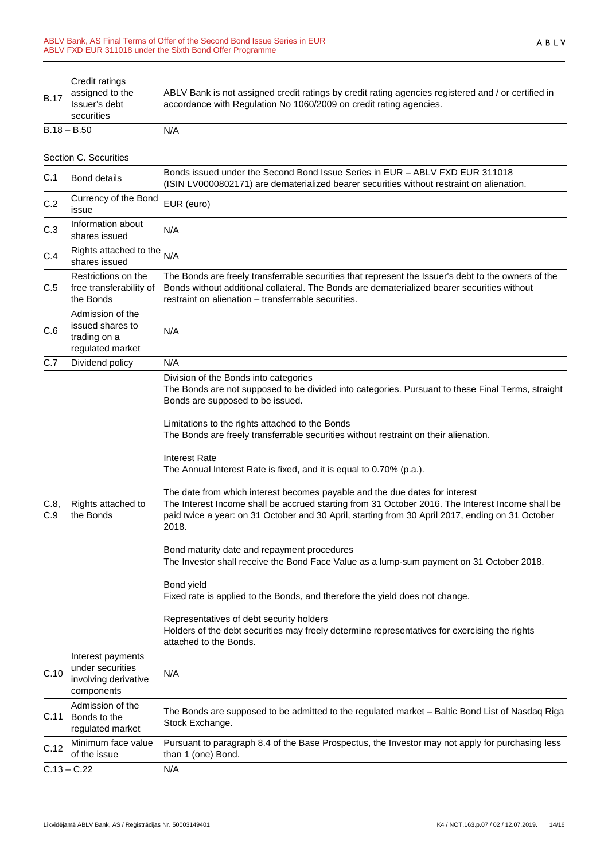| <b>B.17</b>           | Credit ratings<br>assigned to the<br>Issuer's debt<br>securities            | ABLV Bank is not assigned credit ratings by credit rating agencies registered and / or certified in<br>accordance with Regulation No 1060/2009 on credit rating agencies.                                                                                                                                                                                                                                                                                                                                                                                                                                                                                                                                                                                                                                                                                                                                                                                                                                                                                                                                                                |  |  |  |
|-----------------------|-----------------------------------------------------------------------------|------------------------------------------------------------------------------------------------------------------------------------------------------------------------------------------------------------------------------------------------------------------------------------------------------------------------------------------------------------------------------------------------------------------------------------------------------------------------------------------------------------------------------------------------------------------------------------------------------------------------------------------------------------------------------------------------------------------------------------------------------------------------------------------------------------------------------------------------------------------------------------------------------------------------------------------------------------------------------------------------------------------------------------------------------------------------------------------------------------------------------------------|--|--|--|
| $B.18 - B.50$         |                                                                             | N/A                                                                                                                                                                                                                                                                                                                                                                                                                                                                                                                                                                                                                                                                                                                                                                                                                                                                                                                                                                                                                                                                                                                                      |  |  |  |
| Section C. Securities |                                                                             |                                                                                                                                                                                                                                                                                                                                                                                                                                                                                                                                                                                                                                                                                                                                                                                                                                                                                                                                                                                                                                                                                                                                          |  |  |  |
| C.1                   | <b>Bond details</b>                                                         | Bonds issued under the Second Bond Issue Series in EUR - ABLV FXD EUR 311018<br>(ISIN LV0000802171) are dematerialized bearer securities without restraint on alienation.                                                                                                                                                                                                                                                                                                                                                                                                                                                                                                                                                                                                                                                                                                                                                                                                                                                                                                                                                                |  |  |  |
| C.2                   | Currency of the Bond<br>issue                                               | EUR (euro)                                                                                                                                                                                                                                                                                                                                                                                                                                                                                                                                                                                                                                                                                                                                                                                                                                                                                                                                                                                                                                                                                                                               |  |  |  |
| C.3                   | Information about<br>shares issued                                          | N/A                                                                                                                                                                                                                                                                                                                                                                                                                                                                                                                                                                                                                                                                                                                                                                                                                                                                                                                                                                                                                                                                                                                                      |  |  |  |
| C.4                   | Rights attached to the<br>shares issued                                     | N/A                                                                                                                                                                                                                                                                                                                                                                                                                                                                                                                                                                                                                                                                                                                                                                                                                                                                                                                                                                                                                                                                                                                                      |  |  |  |
| C.5                   | Restrictions on the<br>free transferability of<br>the Bonds                 | The Bonds are freely transferrable securities that represent the Issuer's debt to the owners of the<br>Bonds without additional collateral. The Bonds are dematerialized bearer securities without<br>restraint on alienation - transferrable securities.                                                                                                                                                                                                                                                                                                                                                                                                                                                                                                                                                                                                                                                                                                                                                                                                                                                                                |  |  |  |
| C.6                   | Admission of the<br>issued shares to<br>trading on a<br>regulated market    | N/A                                                                                                                                                                                                                                                                                                                                                                                                                                                                                                                                                                                                                                                                                                                                                                                                                                                                                                                                                                                                                                                                                                                                      |  |  |  |
| C.7                   | Dividend policy                                                             | N/A                                                                                                                                                                                                                                                                                                                                                                                                                                                                                                                                                                                                                                                                                                                                                                                                                                                                                                                                                                                                                                                                                                                                      |  |  |  |
| C.8,<br>C.9           | Rights attached to<br>the Bonds                                             | Division of the Bonds into categories<br>The Bonds are not supposed to be divided into categories. Pursuant to these Final Terms, straight<br>Bonds are supposed to be issued.<br>Limitations to the rights attached to the Bonds<br>The Bonds are freely transferrable securities without restraint on their alienation.<br><b>Interest Rate</b><br>The Annual Interest Rate is fixed, and it is equal to 0.70% (p.a.).<br>The date from which interest becomes payable and the due dates for interest<br>The Interest Income shall be accrued starting from 31 October 2016. The Interest Income shall be<br>paid twice a year: on 31 October and 30 April, starting from 30 April 2017, ending on 31 October<br>2018.<br>Bond maturity date and repayment procedures<br>The Investor shall receive the Bond Face Value as a lump-sum payment on 31 October 2018.<br>Bond yield<br>Fixed rate is applied to the Bonds, and therefore the yield does not change.<br>Representatives of debt security holders<br>Holders of the debt securities may freely determine representatives for exercising the rights<br>attached to the Bonds. |  |  |  |
| C.10                  | Interest payments<br>under securities<br>involving derivative<br>components | N/A                                                                                                                                                                                                                                                                                                                                                                                                                                                                                                                                                                                                                                                                                                                                                                                                                                                                                                                                                                                                                                                                                                                                      |  |  |  |
| C.11                  | Admission of the<br>Bonds to the<br>regulated market                        | The Bonds are supposed to be admitted to the regulated market - Baltic Bond List of Nasdaq Riga<br>Stock Exchange.                                                                                                                                                                                                                                                                                                                                                                                                                                                                                                                                                                                                                                                                                                                                                                                                                                                                                                                                                                                                                       |  |  |  |
| C.12                  | Minimum face value<br>of the issue                                          | Pursuant to paragraph 8.4 of the Base Prospectus, the Investor may not apply for purchasing less<br>than 1 (one) Bond.                                                                                                                                                                                                                                                                                                                                                                                                                                                                                                                                                                                                                                                                                                                                                                                                                                                                                                                                                                                                                   |  |  |  |
| $C.13 - C.22$         |                                                                             | N/A                                                                                                                                                                                                                                                                                                                                                                                                                                                                                                                                                                                                                                                                                                                                                                                                                                                                                                                                                                                                                                                                                                                                      |  |  |  |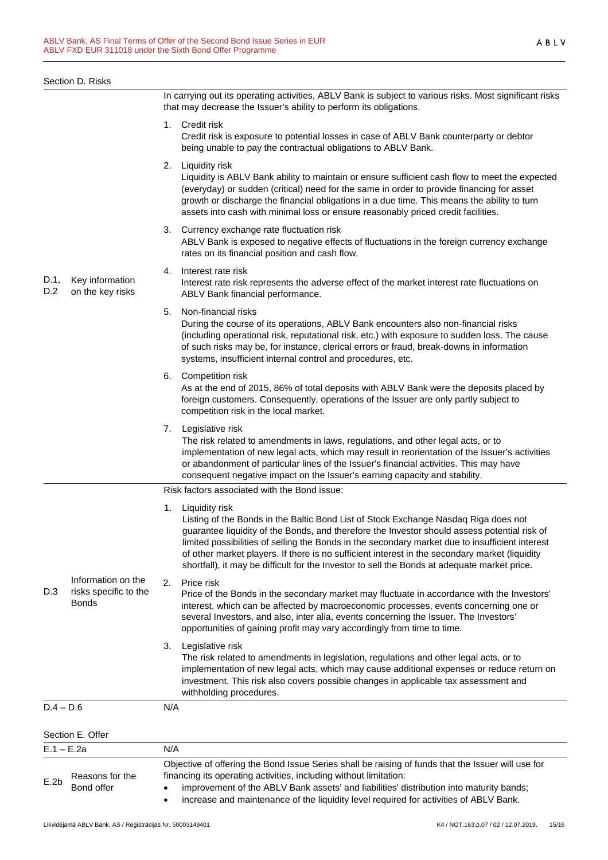|             | Section D. Risks                                            |                                                                                                                                                                                                                                                                                                                                                                                                                                                                                                                  |
|-------------|-------------------------------------------------------------|------------------------------------------------------------------------------------------------------------------------------------------------------------------------------------------------------------------------------------------------------------------------------------------------------------------------------------------------------------------------------------------------------------------------------------------------------------------------------------------------------------------|
|             |                                                             | In carrying out its operating activities, ABLV Bank is subject to various risks. Most significant risks<br>that may decrease the Issuer's ability to perform its obligations.                                                                                                                                                                                                                                                                                                                                    |
|             |                                                             | 1. Credit risk<br>Credit risk is exposure to potential losses in case of ABLV Bank counterparty or debtor<br>being unable to pay the contractual obligations to ABLV Bank.                                                                                                                                                                                                                                                                                                                                       |
|             |                                                             | Liquidity risk<br>2.<br>Liquidity is ABLV Bank ability to maintain or ensure sufficient cash flow to meet the expected<br>(everyday) or sudden (critical) need for the same in order to provide financing for asset<br>growth or discharge the financial obligations in a due time. This means the ability to turn<br>assets into cash with minimal loss or ensure reasonably priced credit facilities.                                                                                                          |
| D.1,<br>D.2 | Key information<br>on the key risks                         | Currency exchange rate fluctuation risk<br>3.<br>ABLV Bank is exposed to negative effects of fluctuations in the foreign currency exchange<br>rates on its financial position and cash flow.                                                                                                                                                                                                                                                                                                                     |
|             |                                                             | Interest rate risk<br>4.<br>Interest rate risk represents the adverse effect of the market interest rate fluctuations on<br>ABLV Bank financial performance.                                                                                                                                                                                                                                                                                                                                                     |
|             |                                                             | 5.<br>Non-financial risks<br>During the course of its operations, ABLV Bank encounters also non-financial risks<br>(including operational risk, reputational risk, etc.) with exposure to sudden loss. The cause<br>of such risks may be, for instance, clerical errors or fraud, break-downs in information<br>systems, insufficient internal control and procedures, etc.                                                                                                                                      |
|             |                                                             | 6. Competition risk<br>As at the end of 2015, 86% of total deposits with ABLV Bank were the deposits placed by<br>foreign customers. Consequently, operations of the Issuer are only partly subject to<br>competition risk in the local market.                                                                                                                                                                                                                                                                  |
|             |                                                             | Legislative risk<br>7.<br>The risk related to amendments in laws, regulations, and other legal acts, or to<br>implementation of new legal acts, which may result in reorientation of the Issuer's activities<br>or abandonment of particular lines of the Issuer's financial activities. This may have<br>consequent negative impact on the Issuer's earning capacity and stability.                                                                                                                             |
|             |                                                             | Risk factors associated with the Bond issue:                                                                                                                                                                                                                                                                                                                                                                                                                                                                     |
|             |                                                             | 1.<br>Liquidity risk<br>Listing of the Bonds in the Baltic Bond List of Stock Exchange Nasdaq Riga does not<br>guarantee liquidity of the Bonds, and therefore the Investor should assess potential risk of<br>limited possibilities of selling the Bonds in the secondary market due to insufficient interest<br>of other market players. If there is no sufficient interest in the secondary market (liquidity<br>shortfall), it may be difficult for the Investor to sell the Bonds at adequate market price. |
| D.3         | Information on the<br>risks specific to the<br><b>Bonds</b> | 2.<br>Price risk<br>Price of the Bonds in the secondary market may fluctuate in accordance with the Investors'<br>interest, which can be affected by macroeconomic processes, events concerning one or<br>several Investors, and also, inter alia, events concerning the Issuer. The Investors'<br>opportunities of gaining profit may vary accordingly from time to time.                                                                                                                                       |
|             |                                                             | Legislative risk<br>3.<br>The risk related to amendments in legislation, regulations and other legal acts, or to<br>implementation of new legal acts, which may cause additional expenses or reduce return on<br>investment. This risk also covers possible changes in applicable tax assessment and<br>withholding procedures.                                                                                                                                                                                  |
| $D.4 - D.6$ |                                                             | N/A                                                                                                                                                                                                                                                                                                                                                                                                                                                                                                              |
|             | Section E. Offer                                            |                                                                                                                                                                                                                                                                                                                                                                                                                                                                                                                  |
|             | $E.1 - E.2a$                                                | N/A                                                                                                                                                                                                                                                                                                                                                                                                                                                                                                              |
| E.2b        | Reasons for the<br>Bond offer                               | Objective of offering the Bond Issue Series shall be raising of funds that the Issuer will use for<br>financing its operating activities, including without limitation:<br>improvement of the ABLV Bank assets' and liabilities' distribution into maturity bands;                                                                                                                                                                                                                                               |